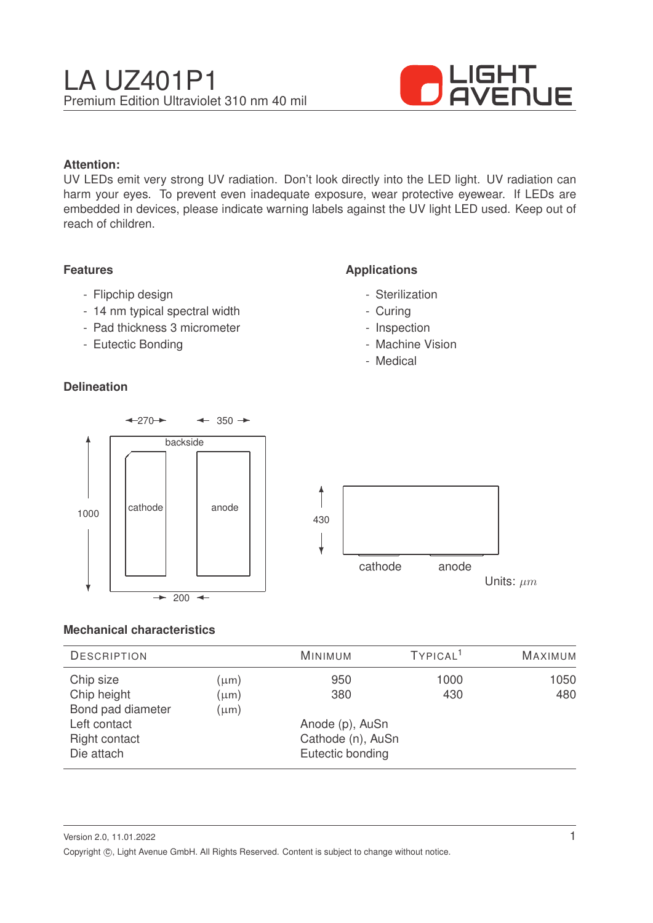

### **Attention:**

UV LEDs emit very strong UV radiation. Don't look directly into the LED light. UV radiation can harm your eyes. To prevent even inadequate exposure, wear protective eyewear. If LEDs are embedded in devices, please indicate warning labels against the UV light LED used. Keep out of reach of children.

#### **Features**

- Flipchip design
- 14 nm typical spectral width
- Pad thickness 3 micrometer
- Eutectic Bonding

## **Delineation**

## **Applications**

- Sterilization
- Curing
- Inspection
- Machine Vision
- Medical



#### **Mechanical characteristics**

| <b>DESCRIPTION</b> |           | <b>MINIMUM</b>    | TYPICAL <sup>1</sup> | <b>MAXIMUM</b> |
|--------------------|-----------|-------------------|----------------------|----------------|
| Chip size          | $\mu$ m)  | 950               | 1000                 | 1050           |
| Chip height        | $(\mu m)$ | 380               | 430                  | 480            |
| Bond pad diameter  | $(\mu m)$ |                   |                      |                |
| Left contact       |           | Anode (p), AuSn   |                      |                |
| Right contact      |           | Cathode (n), AuSn |                      |                |
| Die attach         |           | Eutectic bonding  |                      |                |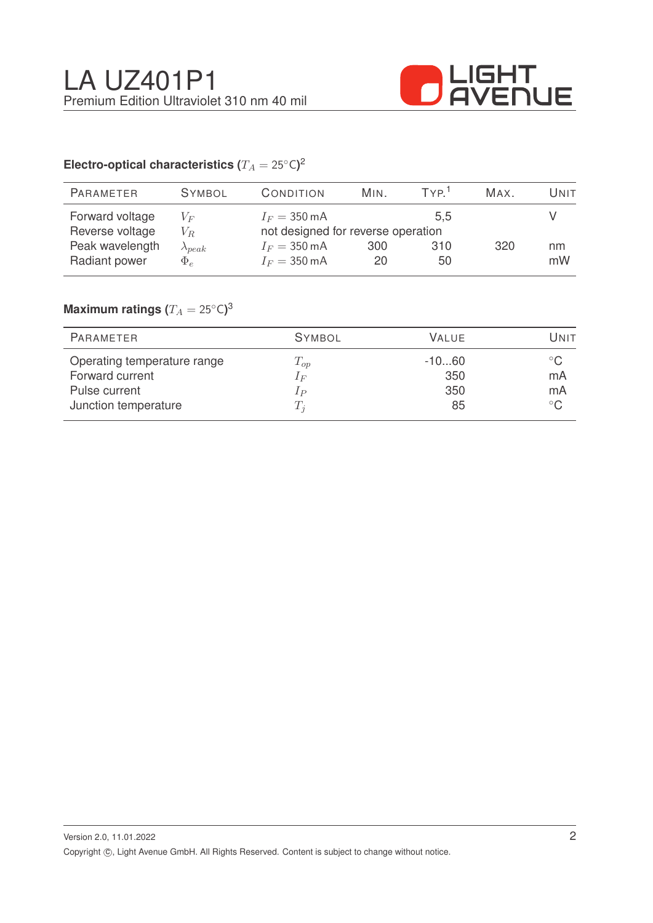

# Electro-optical characteristics ( $T_A = 25^{\circ} \text{C}$ )<sup>2</sup>

| <b>PARAMETER</b> | <b>SYMBOL</b>    | CONDITION              | MIN.                               | TYP <sup>1</sup> | MAX. | Unit |
|------------------|------------------|------------------------|------------------------------------|------------------|------|------|
| Forward voltage  | $V_F$            | $I_F = 350 \text{ mA}$ |                                    | 5.5              |      |      |
| Reverse voltage  | $V_R$            |                        | not designed for reverse operation |                  |      |      |
| Peak wavelength  | $\lambda_{peak}$ | $I_F = 350 \text{ mA}$ | 300                                | 310              | 320  | nm   |
| Radiant power    | $\Phi_e$         | $I_F = 350 \text{ mA}$ | 20                                 | 50               |      | mW   |
|                  |                  |                        |                                    |                  |      |      |

## $\mathsf{Maximum}$  ratings  $(T_A = 25^{\circ} \mathsf{C})^3$

| PARAMETER                   | <b>SYMBOL</b> | VALUE   | Unit         |
|-----------------------------|---------------|---------|--------------|
| Operating temperature range | $T_{op}$      | $-1060$ | $^{\circ}$ C |
| Forward current             | $1_F$         | 350     | mA           |
| Pulse current               | $_{1P}$       | 350     | mA           |
| Junction temperature        | $T_i$         | 85      | $^{\circ}$ C |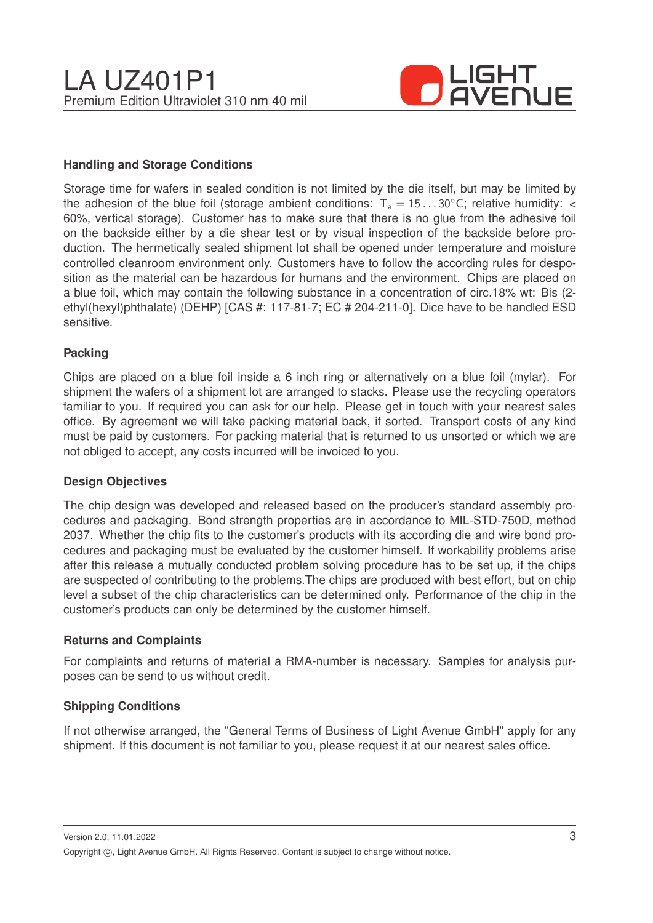

#### **Handling and Storage Conditions**

Storage time for wafers in sealed condition is not limited by the die itself, but may be limited by the adhesion of the blue foil (storage ambient conditions:  $T_a = 15...30^{\circ}$ C; relative humidity: < 60%, vertical storage). Customer has to make sure that there is no glue from the adhesive foil on the backside either by a die shear test or by visual inspection of the backside before production. The hermetically sealed shipment lot shall be opened under temperature and moisture controlled cleanroom environment only. Customers have to follow the according rules for desposition as the material can be hazardous for humans and the environment. Chips are placed on a blue foil, which may contain the following substance in a concentration of circ.18% wt: Bis (2 ethyl(hexyl)phthalate) (DEHP) [CAS #: 117-81-7; EC # 204-211-0]. Dice have to be handled ESD sensitive.

#### **Packing**

Chips are placed on a blue foil inside a 6 inch ring or alternatively on a blue foil (mylar). For shipment the wafers of a shipment lot are arranged to stacks. Please use the recycling operators familiar to you. If required you can ask for our help. Please get in touch with your nearest sales office. By agreement we will take packing material back, if sorted. Transport costs of any kind must be paid by customers. For packing material that is returned to us unsorted or which we are not obliged to accept, any costs incurred will be invoiced to you.

#### **Design Objectives**

The chip design was developed and released based on the producer's standard assembly procedures and packaging. Bond strength properties are in accordance to MIL-STD-750D, method 2037. Whether the chip fits to the customer's products with its according die and wire bond procedures and packaging must be evaluated by the customer himself. If workability problems arise after this release a mutually conducted problem solving procedure has to be set up, if the chips are suspected of contributing to the problems.The chips are produced with best effort, but on chip level a subset of the chip characteristics can be determined only. Performance of the chip in the customer's products can only be determined by the customer himself.

#### **Returns and Complaints**

For complaints and returns of material a RMA-number is necessary. Samples for analysis purposes can be send to us without credit.

#### **Shipping Conditions**

If not otherwise arranged, the "General Terms of Business of Light Avenue GmbH" apply for any shipment. If this document is not familiar to you, please request it at our nearest sales office.

Version 2.0, 11.01.2022 Copyright ©, Light Avenue GmbH. All Rights Reserved. Content is subject to change without notice.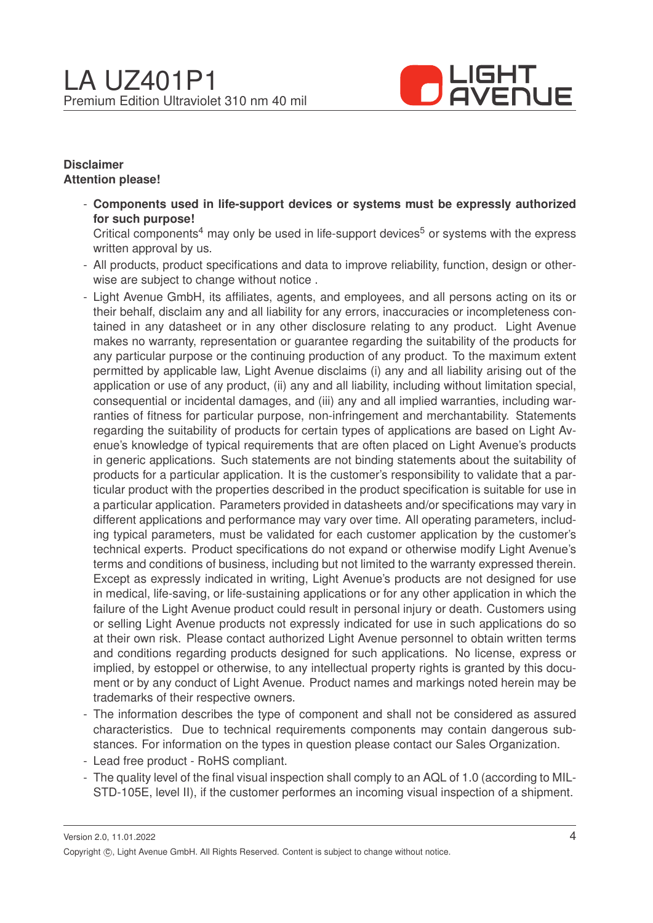

#### **Disclaimer Attention please!**

- **Components used in life-support devices or systems must be expressly authorized for such purpose!**

Critical components<sup>4</sup> may only be used in life-support devices<sup>5</sup> or systems with the express written approval by us.

- All products, product specifications and data to improve reliability, function, design or otherwise are subject to change without notice .
- Light Avenue GmbH, its affiliates, agents, and employees, and all persons acting on its or their behalf, disclaim any and all liability for any errors, inaccuracies or incompleteness contained in any datasheet or in any other disclosure relating to any product. Light Avenue makes no warranty, representation or guarantee regarding the suitability of the products for any particular purpose or the continuing production of any product. To the maximum extent permitted by applicable law, Light Avenue disclaims (i) any and all liability arising out of the application or use of any product, (ii) any and all liability, including without limitation special, consequential or incidental damages, and (iii) any and all implied warranties, including warranties of fitness for particular purpose, non-infringement and merchantability. Statements regarding the suitability of products for certain types of applications are based on Light Avenue's knowledge of typical requirements that are often placed on Light Avenue's products in generic applications. Such statements are not binding statements about the suitability of products for a particular application. It is the customer's responsibility to validate that a particular product with the properties described in the product specification is suitable for use in a particular application. Parameters provided in datasheets and/or specifications may vary in different applications and performance may vary over time. All operating parameters, including typical parameters, must be validated for each customer application by the customer's technical experts. Product specifications do not expand or otherwise modify Light Avenue's terms and conditions of business, including but not limited to the warranty expressed therein. Except as expressly indicated in writing, Light Avenue's products are not designed for use in medical, life-saving, or life-sustaining applications or for any other application in which the failure of the Light Avenue product could result in personal injury or death. Customers using or selling Light Avenue products not expressly indicated for use in such applications do so at their own risk. Please contact authorized Light Avenue personnel to obtain written terms and conditions regarding products designed for such applications. No license, express or implied, by estoppel or otherwise, to any intellectual property rights is granted by this document or by any conduct of Light Avenue. Product names and markings noted herein may be trademarks of their respective owners.
- The information describes the type of component and shall not be considered as assured characteristics. Due to technical requirements components may contain dangerous substances. For information on the types in question please contact our Sales Organization.
- Lead free product RoHS compliant.
- The quality level of the final visual inspection shall comply to an AQL of 1.0 (according to MIL-STD-105E, level II), if the customer performes an incoming visual inspection of a shipment.